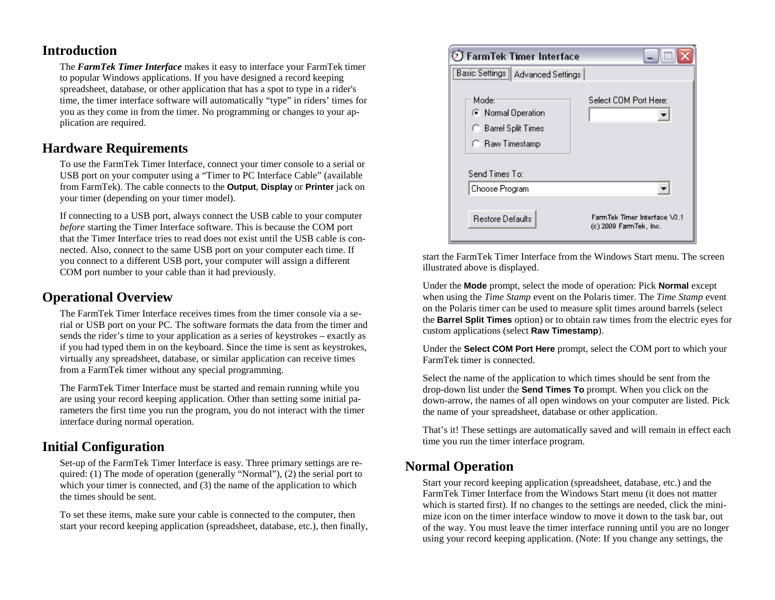#### **Introduction**

The *FarmTek Timer Interface* makes it easy to interface your FarmTek timer to popular Windows applications. If you have designed a record keeping spreadsheet, database, or other application that has a spot to type in a rider's time, the timer interface software will automatically "type" in riders' times for you as they come in from the timer. No programming or changes to your application are required.

# **Hardware Requirements**

To use the FarmTek Timer Interface, connect your timer console to a serial or USB port on your computer using a "Timer to PC Interface Cable" (available from FarmTek). The cable connects to the **Output**, **Display** or **Printer** jack on your timer (depending on your timer model).

If connecting to a USB port, always connect the USB cable to your computer *before* starting the Timer Interface software. This is because the COM port that the Timer Interface tries to read does not exist until the USB cable is connected. Also, connect to the same USB port on your computer each time. If you connect to a different USB port, your computer will assign a different COM port number to your cable than it had previously.

# **Operational Overview**

The FarmTek Timer Interface receives times from the timer console via a serial or USB port on your PC. The software formats the data from the timer and sends the rider's time to your application as a series of keystrokes – exactly as if you had typed them in on the keyboard. Since the time is sent as keystrokes, virtually any spreadsheet, database, or similar application can receive times from a FarmTek timer without any special programming.

The FarmTek Timer Interface must be started and remain running while you are using your record keeping application. Other than setting some initial parameters the first time you run the program, you do not interact with the timer interface during normal operation.

# **Initial Configuration**

Set-up of the FarmTek Timer Interface is easy. Three primary settings are required: (1) The mode of operation (generally "Normal"), (2) the serial port to which your timer is connected, and (3) the name of the application to which the times should be sent.

To set these items, make sure your cable is connected to the computer, then start your record keeping application (spreadsheet, database, etc.), then finally,



start the FarmTek Timer Interface from the Windows Start menu. The screen illustrated above is displayed.

Under the **Mode** prompt, select the mode of operation: Pick **Normal** excep<sup>t</sup> when using the *Time Stamp* event on the Polaris timer. The *Time Stamp* event on the Polaris timer can be used to measure split times around barrels (select the **Barrel Split Times** option) or to obtain raw times from the electric eyes for custom applications (select **Raw Timestamp**).

Under the **Select COM Port Here** prompt, select the COM port to which your FarmTek timer is connected.

Select the name of the application to which times should be sent from the drop-down list under the **Send Times To** prompt. When you click on the down-arrow, the names of all open windows on your computer are listed. Pick the name of your spreadsheet, database or other application.

That's it! These settings are automatically saved and will remain in effect each time you run the timer interface program.

# **Normal Operation**

Start your record keeping application (spreadsheet, database, etc.) and the FarmTek Timer Interface from the Windows Start menu (it does not matter which is started first). If no changes to the settings are needed, click the minimize icon on the timer interface window to move it down to the task bar, out of the way. You must leave the timer interface running until you are no longer using your record keeping application. (Note: If you change any settings, the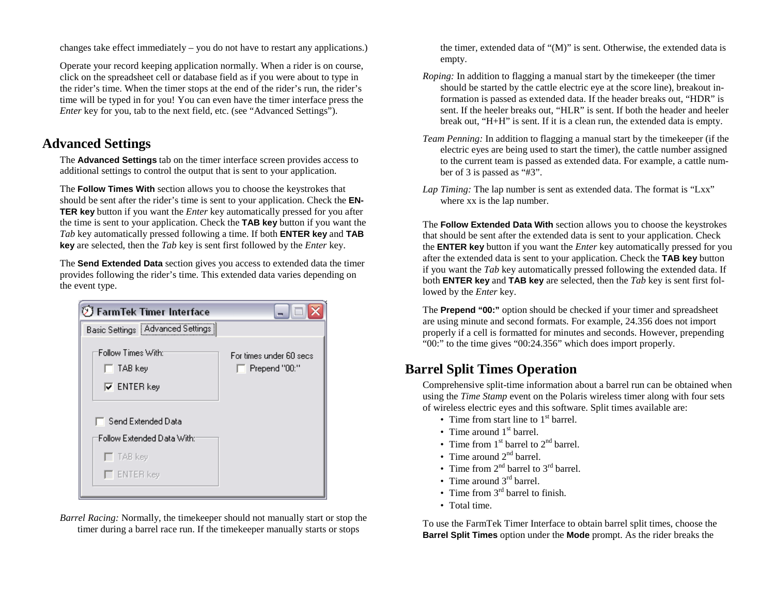changes take effect immediately – you do not have to restart any applications.)

Operate your record keeping application normally. When a rider is on course, click on the spreadsheet cell or database field as if you were about to type in the rider's time. When the timer stops at the end of the rider's run, the rider's time will be typed in for you! You can even have the timer interface press the *Enter* key for you, tab to the next field, etc. (see "Advanced Settings").

# **Advanced Settings**

The **Advanced Settings** tab on the timer interface screen provides access to additional settings to control the output that is sent to your application.

The **Follow Times With** section allows you to choose the keystrokes that should be sent after the rider's time is sent to your application. Check the **EN-TER key** button if you want the *Enter* key automatically pressed for you after the time is sent to your application. Check the **TAB key** button if you want the *Tab* key automatically pressed following a time. If both **ENTER key** and **TAB key** are selected, then the *Tab* key is sent first followed by the *Enter* key.

The **Send Extended Data** section gives you access to extended data the timer provides following the rider's time. This extended data varies depending on the event type.

| $\mathfrak V$ FarmTek Timer Interface                      | ن ال                                            |
|------------------------------------------------------------|-------------------------------------------------|
| Basic Settings   Advanced Settings                         |                                                 |
| Follow Times With:<br>$\Box$ TAB key<br>$\nabla$ ENTER key | For times under 60 secs<br>$\Box$ Prepend "00:" |
| Send Extended Data                                         |                                                 |
| Follow Extended Data With:                                 |                                                 |
| $\Gamma$ TAB key                                           |                                                 |
| $\Gamma$ ENTER key                                         |                                                 |

*Barrel Racing:* Normally, the timekeeper should not manually start or stop the timer during a barrel race run. If the timekeeper manually starts or stops

the timer, extended data of "(M)" is sent. Otherwise, the extended data is empty.

- *Roping:* In addition to flagging a manual start by the timekeeper (the timer should be started by the cattle electric eye at the score line), breakout information is passed as extended data. If the header breaks out, "HDR" is sent. If the heeler breaks out, "HLR" is sent. If both the header and heeler break out, "H+H" is sent. If it is a clean run, the extended data is empty.
- *Team Penning:* In addition to flagging a manual start by the timekeeper (if the electric eyes are being used to start the timer), the cattle number assigned to the current team is passed as extended data. For example, a cattle number of 3 is passed as "#3".
- *Lap Timing:* The lap number is sent as extended data. The format is "Lxx" where xx is the lap number.

The **Follow Extended Data With** section allows you to choose the keystrokes that should be sent after the extended data is sent to your application. Check the **ENTER key** button if you want the *Enter* key automatically pressed for you after the extended data is sent to your application. Check the **TAB key** button if you want the *Tab* key automatically pressed following the extended data. If both **ENTER key** and **TAB key** are selected, then the *Tab* key is sent first followed by the *Enter* key.

The **Prepend "00:"** option should be checked if your timer and spreadsheet are using minute and second formats. For example, 24.356 does not import properly if a cell is formatted for minutes and seconds. However, prepending "00:" to the time gives "00:24.356" which does import properly.

# **Barrel Split Times Operation**

Comprehensive split-time information about a barrel run can be obtained when using the *Time Stamp* event on the Polaris wireless timer along with four sets of wireless electric eyes and this software. Split times available are:

- Time from start line to  $1<sup>st</sup>$  barrel.
- Time around  $1<sup>st</sup>$  barrel.
- Time from  $1<sup>st</sup>$  barrel to  $2<sup>nd</sup>$  barrel.
- Time around  $2<sup>nd</sup>$  barrel.
- Time from  $2^{nd}$  barrel to  $3^{rd}$  barrel.
- Time around  $3<sup>rd</sup>$  barrel.
- Time from  $3<sup>rd</sup>$  barrel to finish.
- Total time.

To use the FarmTek Timer Interface to obtain barrel split times, choose the **Barrel Split Times** option under the **Mode** prompt. As the rider breaks the